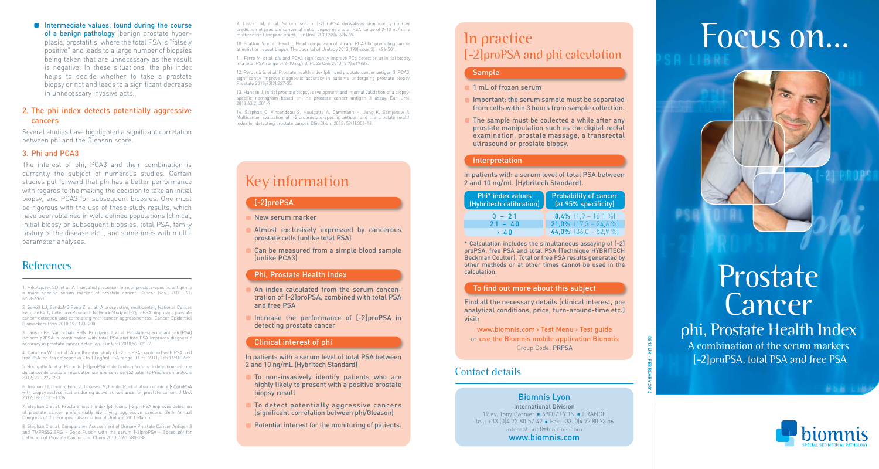#### **Intermediate values, found during the course** of a benign pathology (benign prostate hyper<sup>p</sup>lasia, prostatitis) where the total PSA is "falsely positive" and leads to a large number of biopsies being taken that are unnecessary as the result is negative. In these situations, the phi index helps to decide whether to take a prostate biopsy or not and leads to a significant decrease in unnecessary invasive acts.

### 2. The phi index detects potentially aggressive cancers

Several studies have highlighted a significant correlation between phi and the Gleason score.

### 3. Phi and PCA3

The interest of phi, PCA3 and their combination is currently the subject of numerous studies. Certain studies put forward that phi has a better performance with regards to the making the decision to take an initial biopsy, and PCA3 for subsequent biopsies. One must be rigorous with the use of these study results, which have been obtained in well-defined populations (clinical, initial biopsy or subsequent biopsies, total PSA, family history of the disease etc.), and sometimes with multiparameter analyses.

## References

1. Mikolajczyk SD, et al. A Truncated precursor form of prostate-specific antigen is a more specific serum marker of prostate cancer. Cancer Res., 2001; 61: 6958–6963.

2. Sokoll LJ, SandaMG,Feng Z, et al. A prospective, multicenter, National Cancer Institute Early Detection Research Network Study of [-2]proPSA: improving prostate cancer detection and correlating with cancer aggressiveness. Cancer Epidemiol Biomarkers Prev 2010;19:1193–200.

3. Jansen FH, Van Schaik RHN, Kurstjens J, et al. Prostate-specific antigen (PSA) isoform p2PSA in combination with total PSA and free PSA improves diagnostic accuracy in prostate cancer detection. Eur Urol 2010;57:921–7.

4. Catalona W. J et al. A multicenter study of -2 proPSA combined with PSA and free PSA for Pca detection in 2 to 10 ng/ml PSA range. J Urol 2011; 185:1650-1655.

5. Houlgatte A. et al.Place du [-2]proPSA et de l'index *phi* dans la détection précoce du cancer de prostate : évaluation sur une série de 452 patients Progres en urologie 2012; 22 : 279-283.

6. Tosoian JJ, Loeb S, Feng Z, Isharwal S, Landis P, et al. Association of [-2]proPSA with biopsy reclassification during active surveillance for prostate cancer. J Urol 2012;188: 1131–1136.

7. Stephan C et al. Prostate health index (phi)using [-2]proPSA improves detection of prostate cancer preferentially identifying aggressive cancers. 26th Annual Congress of the European Association of Urology, 2011 March.

8. Stephan C et al. Comparative Assessment of Urinary Prostate Cancer Antigen 3 and TMPRSS2:ERG – Gene Fusion with the serum [-2]proPSA - Based *phi* for Detection of Prostate Cancer Clin Chem 2013; 59:1,280-288.

11. Ferro M, et al. *phi* and PCA3 significantly improve PCa detection at initial biopsy in a total PSA range of 2-10 ng/ml. PLoS One 2013; 8(7):e67687.

12. Perdonà S, et al. Prostate health index (phi) and prostate cancer antigen 3 (PCA3) significantly improve diagnostic accuracy in patients undergoing prostate biopsy. Prostate 2013;73(3):227-35.

13. Hansen J, Initial prostate biopsy: development and internal validation of a biopsyspecific nomogram based on the prostate cancer antigen 3 assay. Eur Urol. 2013;63(2):201-9.

14. Stephan C, Vincendeau S, Houlgatte A, Cammann H, Jung K, Semjonow A. Multicenter evaluation of [-2]proprostate-specific antigen and the prostate health index for detecting prostate cancer. Clin Chem 2013; 59(1):306-14.

## Key information

### [-2]proPSA

**New serum marker** 

- **Almost exclusively expressed by cancerous** prostate cells (unlike total PSA)
- Can be measured from a simple blood sample (unlike PCA3)

### Phi, Prostate Health Index

An index calculated from the serum concentration of [-2]proPSA, combined with total PSA and free PSA

Increase the performance of [-2]proPSA in detecting prostate cancer

### Clinical interest of phi

In patients with a serum level of total PSA between 2 and 10 ng/mL (Hybritech Standard)

- To non-invasively identify patients who are highly likely to present with a positive prostate biopsy result
- **To detect potentially aggressive cancers** (significant correlation between phi/Gleason)
- **Potential interest for the monitoring of patients.**

## In practice [-2]proPSA and phi calculation

### Sample

#### 1 mL of frozen serum

- Inportant: the serum sample must be separated from cells within 3 hours from sample collection.
- The sample must be collected a while after any prostate manipulation such as the digital rectal examination, prostate massage, a transrectal ultrasound or prostate biopsy.

### Interpretation

In patients with a serum level of total PSA between 2 and 10 ng/mL (Hybritech Standard).

| Phi* index values<br>(Hybritech calibration) | <b>Probability of cancer</b><br>(at 95% specificity) |
|----------------------------------------------|------------------------------------------------------|
| $0 - 21$                                     | <b>8,4%</b> $[1,9 - 16,1%]$                          |
| $21 - 40$                                    | <b>21,0%</b> $[17,3 - 24,6 %]$                       |
| › 40                                         | 44,0% $[36.0 - 52.9 %]$                              |

\* Calculation includes the simultaneous assaying of [-2] proPSA, free PSA and total PSA (Technique HYBRITECH Beckman Coulter). Total or free PSA results generated by other methods or at other times cannot be used in the calculation.

### To find out more about this subject

Find all the necessary details (clinical interest, pre analytical conditions, price, turn-around-time etc.) visit:

www.biomnis.com > Test Menu > Test guide or use the Biomnis mobile application Biomnis Group Code: PRPSA

DS12 UK - FEBRUARY 2014

**DS12 UK** 

## Contact details

Biomnis Lyon International Division 19 av. Tony Garnier  $\bullet$  69007 LYON  $\bullet$  FRANCE Tel.: +33  $[0]4$  72 80 57 42 • Fax: +33  $[0]4$  72 80 73 56 international@biomnis.com www.biomnis.com

# 9. Lazzeri M, et al. Serum isoform [-2]proPSA derivatives significantly improve<br>prediction of prostate cancer at initial biopsy in a total PSA range of 2-10 ng/ml: a<br>10. Scattoni V, et al. Head to Head comparison of phi an



# Prostate Cancer

## phi, Prostate Health Index

A combination of the serum markers [-2]proPSA, total PSA and free PSA